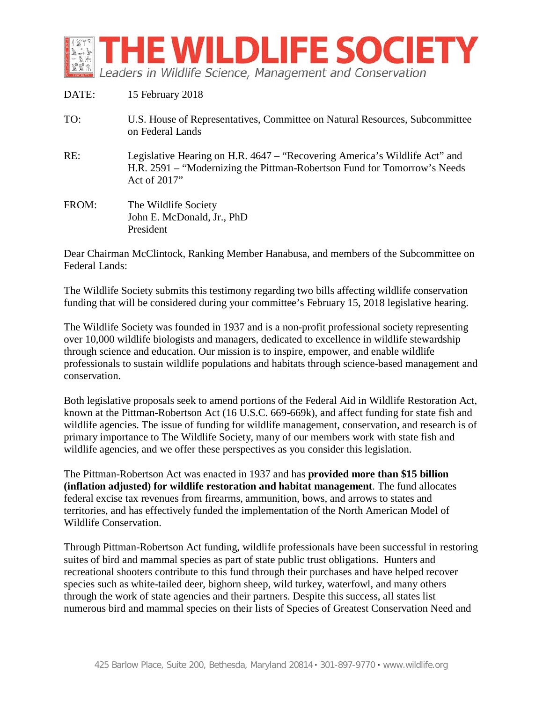

| DATE: | 15 February 2018                                                                                                                                                       |
|-------|------------------------------------------------------------------------------------------------------------------------------------------------------------------------|
| TO:   | U.S. House of Representatives, Committee on Natural Resources, Subcommittee<br>on Federal Lands                                                                        |
| RE:   | Legislative Hearing on H.R. 4647 – "Recovering America's Wildlife Act" and<br>H.R. 2591 – "Modernizing the Pittman-Robertson Fund for Tomorrow's Needs<br>Act of 2017" |
| FROM: | The Wildlife Society<br>John E. McDonald, Jr., PhD<br>President                                                                                                        |

Dear Chairman McClintock, Ranking Member Hanabusa, and members of the Subcommittee on Federal Lands:

The Wildlife Society submits this testimony regarding two bills affecting wildlife conservation funding that will be considered during your committee's February 15, 2018 legislative hearing.

The Wildlife Society was founded in 1937 and is a non-profit professional society representing over 10,000 wildlife biologists and managers, dedicated to excellence in wildlife stewardship through science and education. Our mission is to inspire, empower, and enable wildlife professionals to sustain wildlife populations and habitats through science-based management and conservation.

Both legislative proposals seek to amend portions of the Federal Aid in Wildlife Restoration Act, known at the Pittman-Robertson Act (16 U.S.C. 669-669k), and affect funding for state fish and wildlife agencies. The issue of funding for wildlife management, conservation, and research is of primary importance to The Wildlife Society, many of our members work with state fish and wildlife agencies, and we offer these perspectives as you consider this legislation.

The Pittman-Robertson Act was enacted in 1937 and has **provided more than \$15 billion (inflation adjusted) for wildlife restoration and habitat management**. The fund allocates federal excise tax revenues from firearms, ammunition, bows, and arrows to states and territories, and has effectively funded the implementation of the North American Model of Wildlife Conservation.

Through Pittman-Robertson Act funding, wildlife professionals have been successful in restoring suites of bird and mammal species as part of state public trust obligations. Hunters and recreational shooters contribute to this fund through their purchases and have helped recover species such as white-tailed deer, bighorn sheep, wild turkey, waterfowl, and many others through the work of state agencies and their partners. Despite this success, all states list numerous bird and mammal species on their lists of Species of Greatest Conservation Need and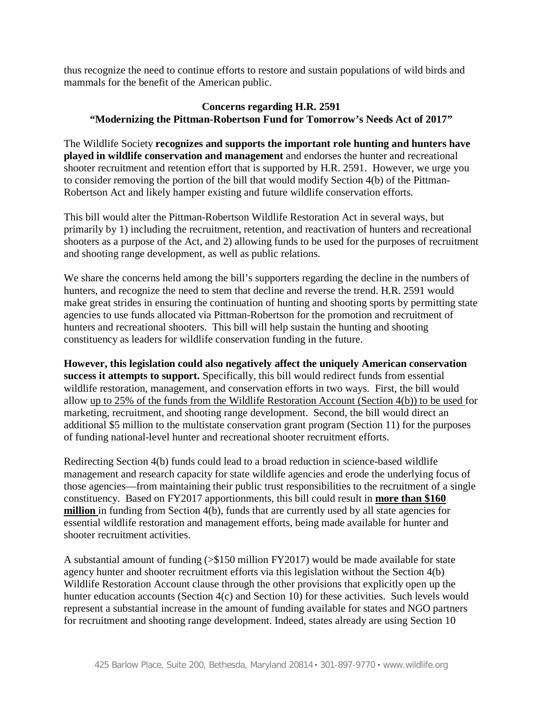thus recognize the need to continue efforts to restore and sustain populations of wild birds and mammals for the benefit of the American public.

## **Concerns regarding H.R. 2591 "Modernizing the Pittman-Robertson Fund for Tomorrow's Needs Act of 2017"**

The Wildlife Society **recognizes and supports the important role hunting and hunters have played in wildlife conservation and management** and endorses the hunter and recreational shooter recruitment and retention effort that is supported by H.R. 2591. However, we urge you to consider removing the portion of the bill that would modify Section 4(b) of the Pittman-Robertson Act and likely hamper existing and future wildlife conservation efforts.

This bill would alter the Pittman-Robertson Wildlife Restoration Act in several ways, but primarily by 1) including the recruitment, retention, and reactivation of hunters and recreational shooters as a purpose of the Act, and 2) allowing funds to be used for the purposes of recruitment and shooting range development, as well as public relations.

We share the concerns held among the bill's supporters regarding the decline in the numbers of hunters, and recognize the need to stem that decline and reverse the trend. H.R. 2591 would make great strides in ensuring the continuation of hunting and shooting sports by permitting state agencies to use funds allocated via Pittman-Robertson for the promotion and recruitment of hunters and recreational shooters. This bill will help sustain the hunting and shooting constituency as leaders for wildlife conservation funding in the future.

**However, this legislation could also negatively affect the uniquely American conservation success it attempts to support.** Specifically, this bill would redirect funds from essential wildlife restoration, management, and conservation efforts in two ways. First, the bill would allow up to 25% of the funds from the Wildlife Restoration Account (Section 4(b)) to be used for marketing, recruitment, and shooting range development. Second, the bill would direct an additional \$5 million to the multistate conservation grant program (Section 11) for the purposes of funding national-level hunter and recreational shooter recruitment efforts.

Redirecting Section 4(b) funds could lead to a broad reduction in science-based wildlife management and research capacity for state wildlife agencies and erode the underlying focus of those agencies—from maintaining their public trust responsibilities to the recruitment of a single constituency. Based on FY2017 apportionments, this bill could result in **more than \$160 million** in funding from Section 4(b), funds that are currently used by all state agencies for essential wildlife restoration and management efforts, being made available for hunter and shooter recruitment activities.

A substantial amount of funding (>\$150 million FY2017) would be made available for state agency hunter and shooter recruitment efforts via this legislation without the Section 4(b) Wildlife Restoration Account clause through the other provisions that explicitly open up the hunter education accounts (Section 4(c) and Section 10) for these activities. Such levels would represent a substantial increase in the amount of funding available for states and NGO partners for recruitment and shooting range development. Indeed, states already are using Section 10